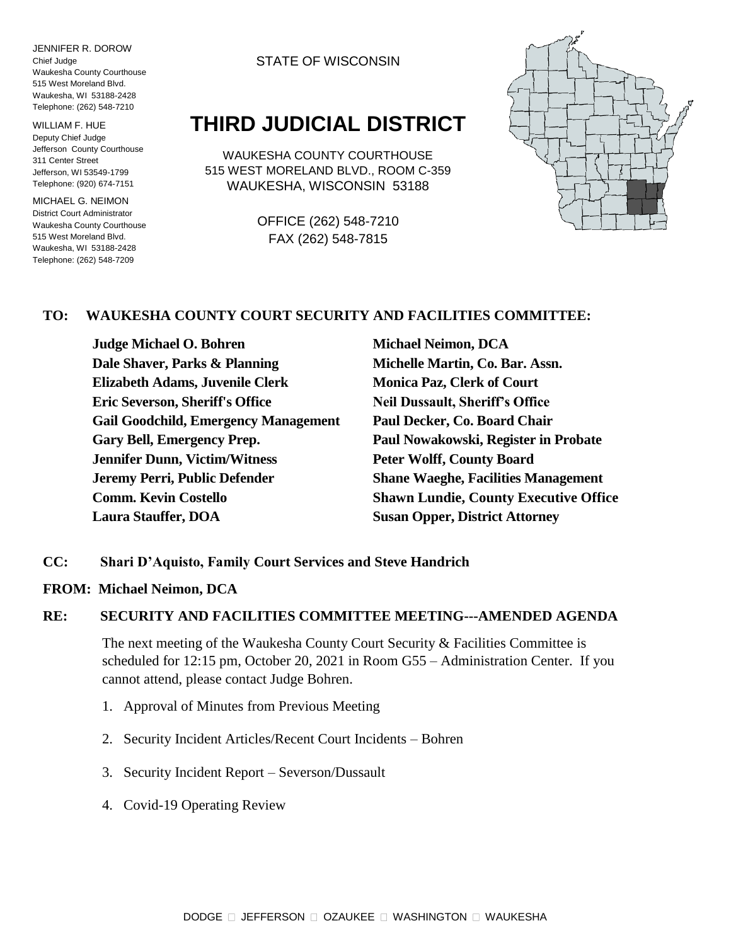JENNIFER R. DOROW Chief Judge Waukesha County Courthouse 515 West Moreland Blvd. Waukesha, WI 53188-2428 Telephone: (262) 548-7210

WILLIAM F. HUE Deputy Chief Judge Jefferson County Courthouse 311 Center Street Jefferson, WI 53549-1799 Telephone: (920) 674-7151

MICHAEL G. NEIMON District Court Administrator Waukesha County Courthouse 515 West Moreland Blvd. Waukesha, WI 53188-2428 Telephone: (262) 548-7209

### STATE OF WISCONSIN

# **THIRD JUDICIAL DISTRICT**

WAUKESHA COUNTY COURTHOUSE 515 WEST MORELAND BLVD., ROOM C-359 WAUKESHA, WISCONSIN 53188

> OFFICE (262) 548-7210 FAX (262) 548-7815



## **TO: WAUKESHA COUNTY COURT SECURITY AND FACILITIES COMMITTEE:**

**Judge Michael O. Bohren Michael Neimon, DCA Dale Shaver, Parks & Planning Michelle Martin, Co. Bar. Assn. Elizabeth Adams, Juvenile Clerk Monica Paz, Clerk of Court Eric Severson, Sheriff's Office Neil Dussault, Sheriff's Office Gail Goodchild, Emergency Management Paul Decker, Co. Board Chair Gary Bell, Emergency Prep. Paul Nowakowski, Register in Probate Jennifer Dunn, Victim/Witness Peter Wolff, County Board Jeremy Perri, Public Defender Shane Waeghe, Facilities Management Laura Stauffer, DOA Susan Opper, District Attorney**

**Comm. Kevin Costello Shawn Lundie, County Executive Office**

- **CC: Shari D'Aquisto, Family Court Services and Steve Handrich**
- **FROM: Michael Neimon, DCA**

### **RE: SECURITY AND FACILITIES COMMITTEE MEETING---AMENDED AGENDA**

The next meeting of the Waukesha County Court Security & Facilities Committee is scheduled for 12:15 pm, October 20, 2021 in Room G55 – Administration Center. If you cannot attend, please contact Judge Bohren.

- 1. Approval of Minutes from Previous Meeting
- 2. Security Incident Articles/Recent Court Incidents Bohren
- 3. Security Incident Report Severson/Dussault
- 4. Covid-19 Operating Review